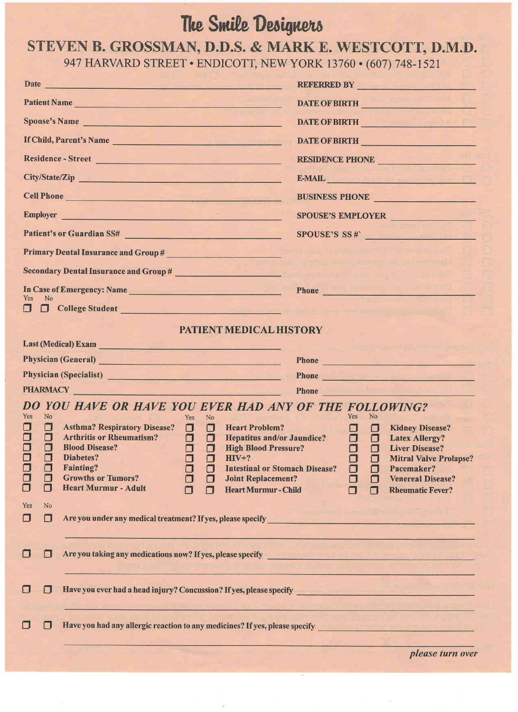## The Smile Designers

## STEVEN B. GROSSMAN, D.D.S. & MARK E. WESTCOTT, D.M.D. 947 HARVARD STREET . ENDICOTT, NEW YORK 13760 . (607) 748-1521

|                                                                                                       | Date has a series of the contract of the contract of the contract of the contract of the contract of the contract of the contract of the contract of the contract of the contract of the contract of the contract of the contr                                                                                                                                                                                                                                                             | REFERRED BY THE REFERRED BY                                                                                                                                                                                                                                                           |  |
|-------------------------------------------------------------------------------------------------------|--------------------------------------------------------------------------------------------------------------------------------------------------------------------------------------------------------------------------------------------------------------------------------------------------------------------------------------------------------------------------------------------------------------------------------------------------------------------------------------------|---------------------------------------------------------------------------------------------------------------------------------------------------------------------------------------------------------------------------------------------------------------------------------------|--|
| Patient Name                                                                                          |                                                                                                                                                                                                                                                                                                                                                                                                                                                                                            | DATE OF BIRTH                                                                                                                                                                                                                                                                         |  |
|                                                                                                       | Spouse's Name                                                                                                                                                                                                                                                                                                                                                                                                                                                                              | DATE OF BIRTH                                                                                                                                                                                                                                                                         |  |
|                                                                                                       | If Child, Parent's Name                                                                                                                                                                                                                                                                                                                                                                                                                                                                    | DATE OF BIRTH                                                                                                                                                                                                                                                                         |  |
|                                                                                                       | Residence - Street                                                                                                                                                                                                                                                                                                                                                                                                                                                                         | RESIDENCE PHONE                                                                                                                                                                                                                                                                       |  |
| City/State/Zip                                                                                        |                                                                                                                                                                                                                                                                                                                                                                                                                                                                                            | E-MAIL PRESERVE AND RESERVE AND RESERVE AND RESERVE AND RESERVE AND RESERVE AND RESERVE AND RESERVE AND RESERVE                                                                                                                                                                       |  |
| Cell Phone                                                                                            |                                                                                                                                                                                                                                                                                                                                                                                                                                                                                            | BUSINESS PHONE                                                                                                                                                                                                                                                                        |  |
| Employer                                                                                              |                                                                                                                                                                                                                                                                                                                                                                                                                                                                                            | SPOUSE'S EMPLOYER                                                                                                                                                                                                                                                                     |  |
|                                                                                                       | Patient's or Guardian SS#                                                                                                                                                                                                                                                                                                                                                                                                                                                                  | SPOUSE'S SS#                                                                                                                                                                                                                                                                          |  |
|                                                                                                       | Primary Dental Insurance and Group #                                                                                                                                                                                                                                                                                                                                                                                                                                                       |                                                                                                                                                                                                                                                                                       |  |
|                                                                                                       | Secondary Dental Insurance and Group #                                                                                                                                                                                                                                                                                                                                                                                                                                                     |                                                                                                                                                                                                                                                                                       |  |
|                                                                                                       | In Case of Emergency: Name                                                                                                                                                                                                                                                                                                                                                                                                                                                                 | Phone <b>Property Phone Property Phone Property</b>                                                                                                                                                                                                                                   |  |
| <b>Yes</b><br><b>No</b><br>$\Box$                                                                     | College Student College Student                                                                                                                                                                                                                                                                                                                                                                                                                                                            |                                                                                                                                                                                                                                                                                       |  |
|                                                                                                       | PATIENT MEDICAL HISTORY                                                                                                                                                                                                                                                                                                                                                                                                                                                                    |                                                                                                                                                                                                                                                                                       |  |
|                                                                                                       | Last (Medical) Exam                                                                                                                                                                                                                                                                                                                                                                                                                                                                        |                                                                                                                                                                                                                                                                                       |  |
|                                                                                                       | Physician (General) <u>and the contract of the contract of the contract of the contract of the contract of the contract of the contract of the contract of the contract of the contract of the contract of the contract of the c</u>                                                                                                                                                                                                                                                       | Phone <b>Phone Contract Contract Contract Contract Contract Contract Contract Contract Contract Contract Contract Contract Contract Contract Contract Contract Contract Contract Contract Contract Contract Contract Contract </b>                                                    |  |
|                                                                                                       | Physician (Specialist)<br><u>Experimental</u>                                                                                                                                                                                                                                                                                                                                                                                                                                              | Phone <b>Phone</b>                                                                                                                                                                                                                                                                    |  |
| PHARMACY PHARMACY                                                                                     |                                                                                                                                                                                                                                                                                                                                                                                                                                                                                            | Phone <b>Phone Contract Contract Contract Contract Contract Contract Contract Contract Contract Contract Contract Contract Contract Contract Contract Contract Contract Contract Contract Contract Contract Contract Contract </b>                                                    |  |
|                                                                                                       | DO YOU HAVE OR HAVE YOU EVER HAD ANY OF THE FOLLOWING?                                                                                                                                                                                                                                                                                                                                                                                                                                     |                                                                                                                                                                                                                                                                                       |  |
| <b>Yes</b><br>No<br>0<br>O<br>$\Box$<br>Ω<br>$\Box$<br>⊡<br>O<br>$\Box$<br>$\Box$<br>$\Box$<br>0<br>□ | Yes<br>No.<br><b>Asthma? Respiratory Disease?</b><br>0.<br>O<br><b>Heart Problem?</b><br><b>Arthritis or Rheumatism?</b><br>$\Box$<br>$\Box$<br>Hepatitus and/or Jaundice?<br><b>Blood Disease?</b><br>$\Box$<br><b>n</b><br>High Blood Pressure?<br>Diabetes?<br>$HIV+?$<br>0<br><b>Fainting?</b><br><b>Intestinal or Stomach Disease?</b><br>$\Box$<br><b>Growths or Tumors?</b><br>□<br><b>Joint Replacement?</b><br><b>Heart Murmur - Adult</b><br><b>Heart Murmur-Child</b><br>$\Box$ | Yes.<br>N <sub>0</sub><br><b>Kidney Disease?</b><br>- 0<br>O<br>$\Box$ $\Box$<br><b>Latex Allergy?</b><br><b>Liver Disease?</b><br>n di<br>0<br>О<br><b>Mitral Valve Prolapse?</b><br>◘<br>Pacemaker?<br>0<br>$\Box$<br>0<br><b>Venereal Disease?</b><br><b>Rheumatic Fever?</b><br>П |  |
| Yes<br>No<br>□<br>O                                                                                   |                                                                                                                                                                                                                                                                                                                                                                                                                                                                                            |                                                                                                                                                                                                                                                                                       |  |
| ◘<br>П                                                                                                |                                                                                                                                                                                                                                                                                                                                                                                                                                                                                            |                                                                                                                                                                                                                                                                                       |  |
| $\Box$<br>$\blacksquare$                                                                              |                                                                                                                                                                                                                                                                                                                                                                                                                                                                                            |                                                                                                                                                                                                                                                                                       |  |
| $\Box$<br>H                                                                                           | Have you had any allergic reaction to any medicines? If yes, please specify __________________________________                                                                                                                                                                                                                                                                                                                                                                             |                                                                                                                                                                                                                                                                                       |  |
|                                                                                                       |                                                                                                                                                                                                                                                                                                                                                                                                                                                                                            | please turn over                                                                                                                                                                                                                                                                      |  |

please turn over